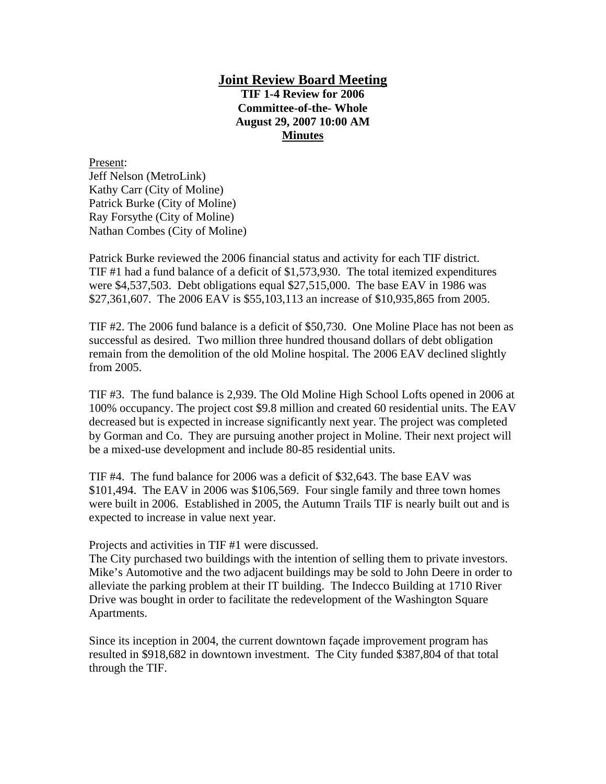## **Joint Review Board Meeting**

**TIF 1-4 Review for 2006 Committee-of-the- Whole August 29, 2007 10:00 AM Minutes**

Present: Jeff Nelson (MetroLink) Kathy Carr (City of Moline) Patrick Burke (City of Moline) Ray Forsythe (City of Moline) Nathan Combes (City of Moline)

Patrick Burke reviewed the 2006 financial status and activity for each TIF district. TIF #1 had a fund balance of a deficit of \$1,573,930. The total itemized expenditures were \$4,537,503. Debt obligations equal \$27,515,000. The base EAV in 1986 was \$27,361,607. The 2006 EAV is \$55,103,113 an increase of \$10,935,865 from 2005.

TIF #2. The 2006 fund balance is a deficit of \$50,730. One Moline Place has not been as successful as desired. Two million three hundred thousand dollars of debt obligation remain from the demolition of the old Moline hospital. The 2006 EAV declined slightly from 2005.

TIF #3. The fund balance is 2,939. The Old Moline High School Lofts opened in 2006 at 100% occupancy. The project cost \$9.8 million and created 60 residential units. The EAV decreased but is expected in increase significantly next year. The project was completed by Gorman and Co. They are pursuing another project in Moline. Their next project will be a mixed-use development and include 80-85 residential units.

TIF #4. The fund balance for 2006 was a deficit of \$32,643. The base EAV was \$101,494. The EAV in 2006 was \$106,569. Four single family and three town homes were built in 2006. Established in 2005, the Autumn Trails TIF is nearly built out and is expected to increase in value next year.

Projects and activities in TIF #1 were discussed.

The City purchased two buildings with the intention of selling them to private investors. Mike's Automotive and the two adjacent buildings may be sold to John Deere in order to alleviate the parking problem at their IT building. The Indecco Building at 1710 River Drive was bought in order to facilitate the redevelopment of the Washington Square Apartments.

Since its inception in 2004, the current downtown façade improvement program has resulted in \$918,682 in downtown investment. The City funded \$387,804 of that total through the TIF.